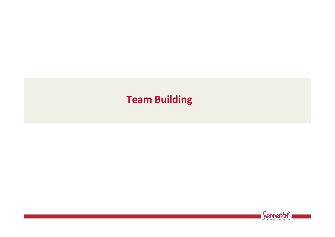# **Team Building**

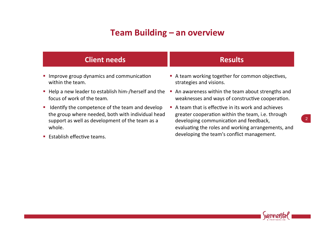## **Team Building - an overview**

| <b>Client needs</b>                                   | <b>Results</b>                                    |
|-------------------------------------------------------|---------------------------------------------------|
| • Improve group dynamics and communication            | A team working together for common objectives,    |
| within the team.                                      | strategies and visions.                           |
| • Help a new leader to establish him-/herself and the | An awareness within the team about strengths and  |
| focus of work of the team.                            | weaknesses and ways of constructive cooperation.  |
| I Identify the competence of the team and develop     | A team that is effective in its work and achieves |
| the group where needed, both with individual head     | greater cooperation within the team, i.e. through |

support as well as development of the team as a whole. 

■ Establish effective teams.

developing communication and feedback, evaluating the roles and working arrangements, and developing the team's conflict management.



 $\vert$  2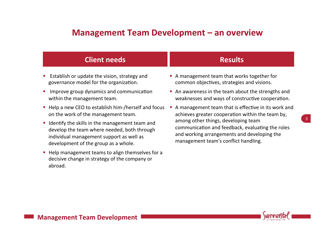#### **Management Team Development - an overview**

| <b>Client needs</b>                                                                                                                                                                 | <b>Results</b>                                                                                                                                                                                                                                                                            |
|-------------------------------------------------------------------------------------------------------------------------------------------------------------------------------------|-------------------------------------------------------------------------------------------------------------------------------------------------------------------------------------------------------------------------------------------------------------------------------------------|
| ■ Establish or update the vision, strategy and<br>governance model for the organization.                                                                                            | • A management team that works together for<br>common objectives, strategies and visions.                                                                                                                                                                                                 |
| Improve group dynamics and communication<br>$\mathcal{L}_{\mathcal{A}}$<br>within the management team.                                                                              | • An awareness in the team about the strengths and<br>weaknesses and ways of constructive cooperation.                                                                                                                                                                                    |
| • Help a new CEO to establish him-/herself and focus<br>on the work of the management team.                                                                                         | A management team that is effective in its work and<br>achieves greater cooperation within the team by,<br>among other things, developing team<br>communication and feedback, evaluating the roles<br>and working arrangements and developing the<br>management team's conflict handling. |
| • Identify the skills in the management team and<br>develop the team where needed, both through<br>individual management support as well as<br>development of the group as a whole. |                                                                                                                                                                                                                                                                                           |

■ Help management teams to align themselves for a decisive change in strategy of the company or abroad.

*<u>vennerstal</u>* 

3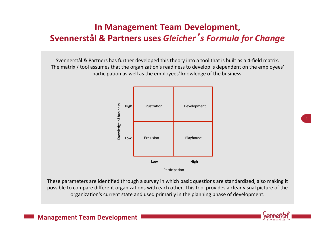# **In Management Team Development, Svennerstål & Partners uses** *Gleicher*'*s Formula for Change*

Socimerstan & Farthers has further developed this theory into a toor that is bant as a 4 held matrix.<br>The matrix / tool assumes that the organization's readiness to develop is dependent on the employees' participation as well as the employees' knowledge of the business. and the control of Svennerstål & Partners has further developed this theory into a tool that is built as a 4-field matrix.



These parameters are identified through a survey in which basic questions are standardized, also making it possible to compare different organizations with each other. This tool provides a clear visual picture of the organization's current state and used primarily in the planning phase of development.



4